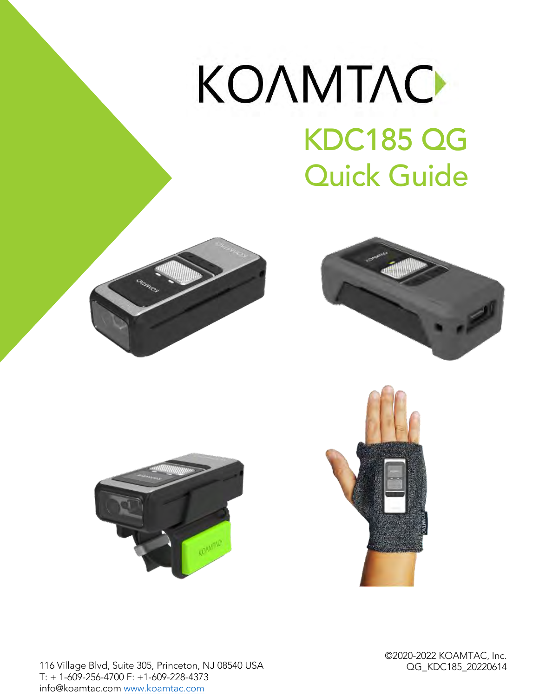# KONMTAC KDC185 QG KDC185 QG Quick Guide









116 Village Blvd, Suite 305, Princeton, NJ 08540 USA info@koamtac.com www.koamtac.com

info@koamtac.com www.koamtac.com

OG KDC185 20220614  $\overline{\phantom{a}}$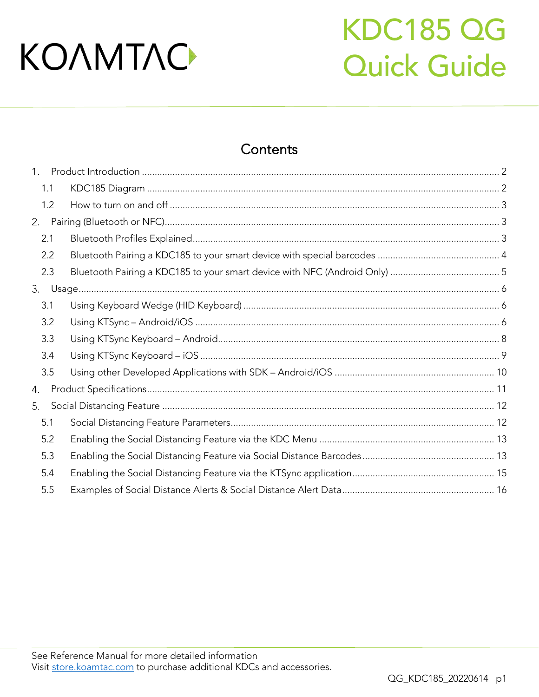## **KDC185 QG Quick Guide**

### Contents

| 1 <sub>1</sub> |  |
|----------------|--|
| 1.1            |  |
| 1.2            |  |
| 2.             |  |
| 2.1            |  |
| 2.2            |  |
| 2.3            |  |
|                |  |
| 3.1            |  |
| 3.2            |  |
| 3.3            |  |
| 3.4            |  |
| 3.5            |  |
|                |  |
|                |  |
| 5.1            |  |
| 5.2            |  |
| 5.3            |  |
| 5.4            |  |
| 5.5            |  |
|                |  |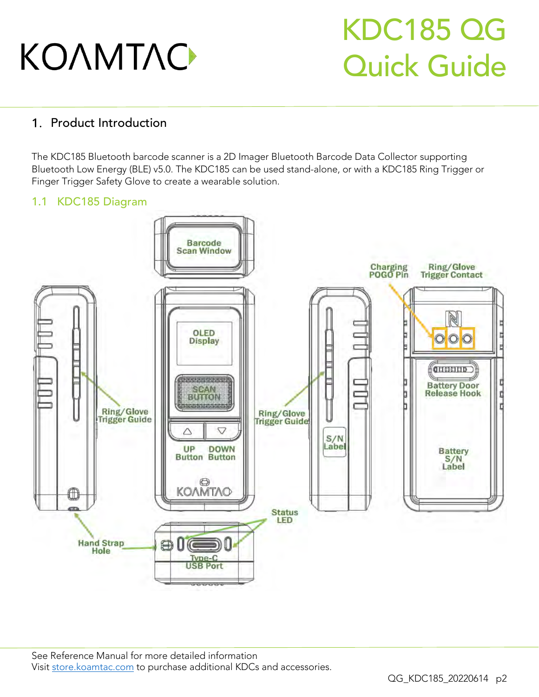### KDC185 QG Quick Guide

#### <span id="page-2-0"></span>1. Product Introduction

The KDC185 Bluetooth barcode scanner is a 2D Imager Bluetooth Barcode Data Collector supporting<br>Bluetooth Low Energy (BLE) v5.0. The KDC185 can be used stand-alone, or with a KDC185 Ring Trigger or Bluetooth Low Energy (BLE) various the Cheesemale statistical statistics, or with a KDC185 ring trigger or Finger Trigger Safety Glove to create a wearable solution.

#### <span id="page-2-1"></span>1.1 KDC185 Diagram

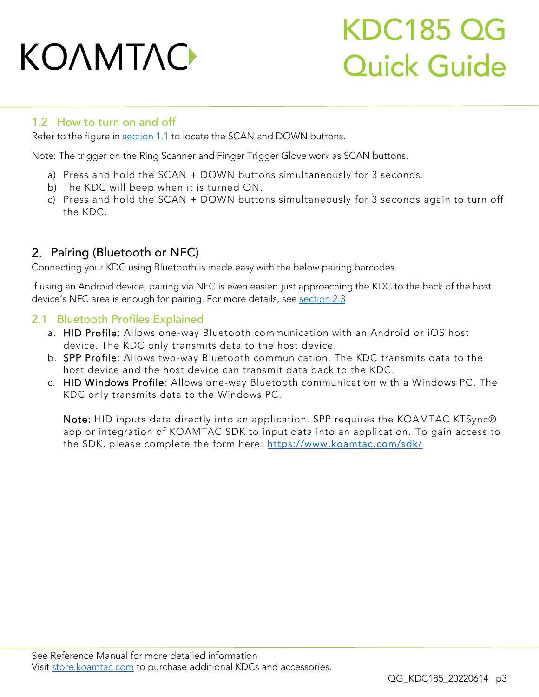### KDC185 QG Quick Guide

#### <span id="page-3-0"></span>1.2 How to turn on and off

Refer to the figure in [section 1.1](#page-2-1) to locate the SCAN and DOWN buttons.

Note: The trigger on the Ring Scanner and Finger Trigger Glove work as SCAN buttons.

- a) Press and hold the SCAN + DOWN buttons simultaneously for 3 seconds.<br>b) The KDC will beep when it is turned ON.
- 
- b) The KDC will be SCAN + DOWN butto c) Press and hold the SCAN  $\mu$  best and  $\mu$  seconds again to turn of  $\mu$ the KDC.

#### <span id="page-3-1"></span>2. Pairing (Bluetooth or NFC)

Connecting your KDC using Bluetooth is made easy with the below pairing barcodes.

If using a straight the straight of the Android is even easier. Just a consider the straight of the back of the host of the host approaching the kontract of the host of the host of the host of the host of the host of the h device is not are the enough for pairing. For more details, see <u>section 2.</u>3

#### <span id="page-3-2"></span>2.1 Bluetooth Profiles Explained

- a. HID Profile: Allows one-way Bluetooth communication with an Android or iOS host device. The KDC only transmits data to the host device.
- b. SPP Profile: Allows two-way Bluetooth communication. The KDC transmits data to the host device and the host device can transmit data back to the KDC.
- c. HID Windows Profile: Allows one-way Bluetooth communication with a Windows PC. The c. HIL HIM WINDOWS PROFILE: All of the Windows PC. KDC only transmits data to the Windows PC.

Note: HID inputs data directly into an application. SPP requires the KOAMTAC KTSync®<br>app or integration of KOAMTAC SDK to input data into an application. To gain access to app or integration of KOAMTAC SDK to input data into an application. To gain access to the SDK, please complete the form here: <https://www.koamtac.com/sdk/>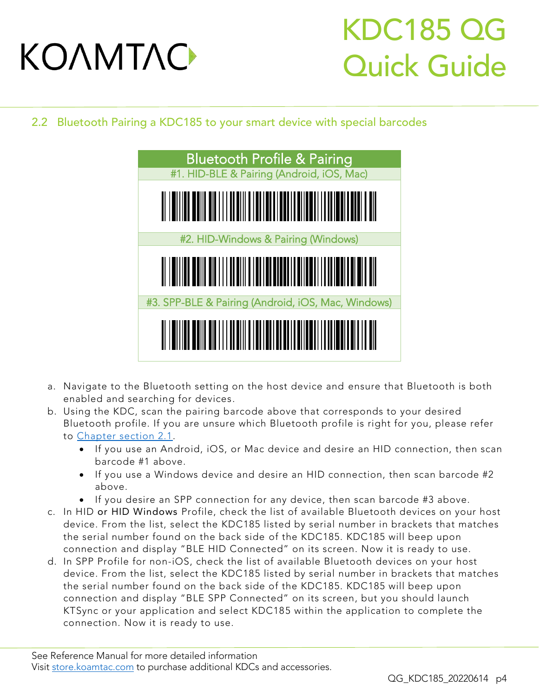### KDC185 QG Quick Guide

<span id="page-4-0"></span>2.2 Bluetooth Pairing a KDC185 to your smart device with special barcodes



- a. Navigate to the Bluetooth setting on the host device and ensure that Bluetooth is both
- b. Using the KDC, scan the pairing barcode above that corresponds to your desired Bluetooth profile. If you are unsure which Bluetooth profile is right for you, please refer to Chapter section 2.1.
	- If you use an Android, iOS, or Mac device and desire an HID connection, then scan<br>barcode #1 above
		- If you use a Windows device and desire an HID connection, then scan barcode #2
		- If you desire an SPP connection for any device, then scan barcode #3 above.<br>HD or HID Windows Profile, check the list of available Bluetooth devices on you
- c. In HID or HID Windows Profile, check the list of available Bluetooth devices on your host the serial number found on the back side of the KDC185. KDC185 will beep upon connection and display "BLE HID Connected" on its screen. Now it is ready to use.
- d. In SPP Profile for non-iOS, check the list of available Bluetooth devices on your host device. From the list, select the KDC185 listed by serial number in brackets that matches the serial number found on the back side of the KDC185. KDC185 will beep upon connection and display "BLE SPP Connected" on its screen, but you should launch KTSync or your application and select KDC185 within the application to complete the KTSync or your application and select KDC185 within the application to complete the connection. Now it is ready to use.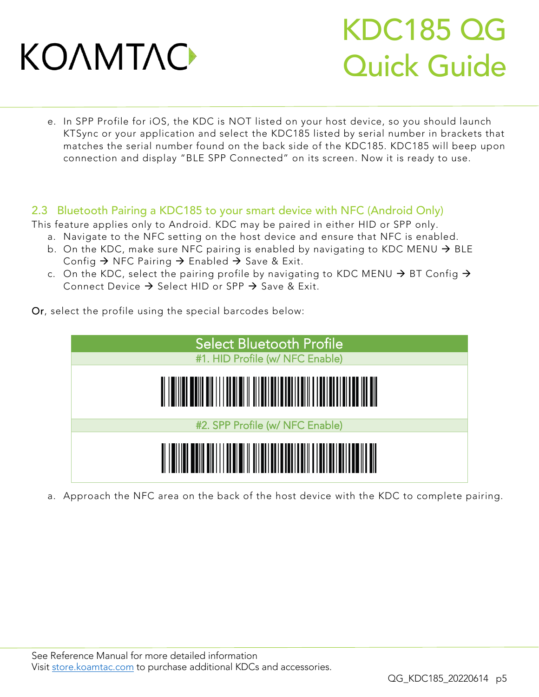### KDC185 QG Quick Guide

e. In SPP Profile for iOS, the KDC is NOT listed on your host device, so you should launch matches the serial number found on the back side of the KDC185. KDC185 will beep upon matches the serial number found on the additional or the KDC185. KDC185. And a separation and display. "RIE CDD Connected" on its sesson. Now it is ready to use connection and display "BLE SPP Connected" on its screen. Now it is ready to use.

#### <span id="page-5-0"></span>2.3 Bluetooth Pairing a KDC185 to your smart device with NFC (Android Only)

- This feature applies only to Android. KDC may be paired in either HID or SPP only.<br>a. Navigate to the NFC setting on the host device and ensure that NFC is enabled.
	- b. On the KDC, make sure NFC pairing is enabled by navigating to KDC MENU  $\rightarrow$  BLE<br>Config  $\rightarrow$  NFC Pairing  $\rightarrow$  Enabled  $\rightarrow$  Save & Exit Config  $\rightarrow$  NFC Pairing  $\rightarrow$  Enabled  $\rightarrow$  Save & Exit.
	- c. On the KDC, select the pairing profile by navigating to KDC MENU  $\rightarrow$  BT Config  $\rightarrow$ Connect Device  $\rightarrow$  Select HID or SPP  $\rightarrow$  Save & Exit.

Or, select the profile using the special barcodes below:



a. Approach the NFC area on the back of the host device with the KDC to complete pairing.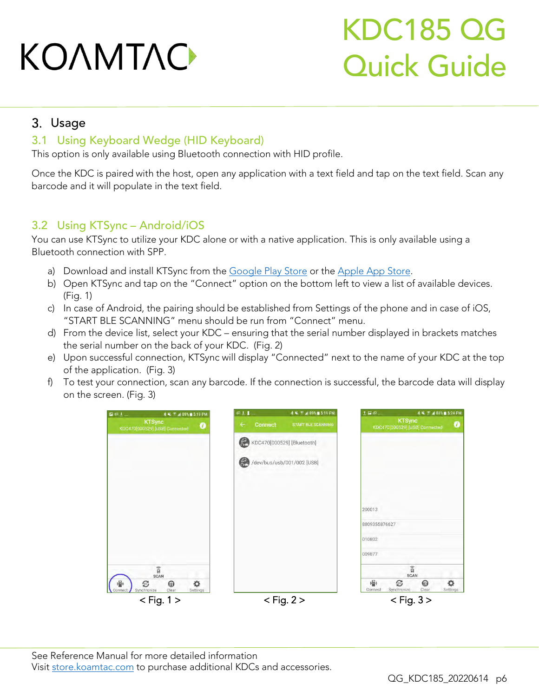## KDC185 QG Quick Guide

#### <span id="page-6-0"></span>3. Usage

#### <span id="page-6-1"></span>3.1 Using Keyboard Wedge (HID Keyboard)

This option is only available using Bluetooth connection with HID profile.

Once the KDC is paired with the host, open any application with a text field and tap on the text field. Scan any<br>barcode and it will populate in the text field. barcode and it will populate in the text field.

#### <span id="page-6-2"></span>3.2 Using KTSync – Android/iOS

You can use KTSync to utilize your KDC alone or with a native application. This is only available using a Bluetooth connection with SPP.

- 
- a) Download and install they he hearth and <u>deepers in play store.</u><br>b) Open KTSync and tap on the "Connect" option on the bottom left to view a list of  $\frac{1}{\sqrt{2}}$  Open Connect to the tap on the extension of available devices. (Fig. 1)<br>c) In case of Android, the pairing should be established from Settings of the phone and in case of iOS,
- "START BLE SCANNING" menu should be run from "Connect" menu.
- d) From the device list, select your KDC ensuring that the serial number displayed in brackets matches the serial number on the back of your KDC. (Fig. 2)
- the serial number on the back of your KDC. (Fig. 2)  $\epsilon$ ) Upon successful connection,  $K_{\text{S}}$  is the display "Connected" next to the name of your KDC at the top
- $\overline{F}$  the application  $\overline{F}$  $f(x)$  To test your connection, scan any barcode. If the connection is successful, the barcode data in display

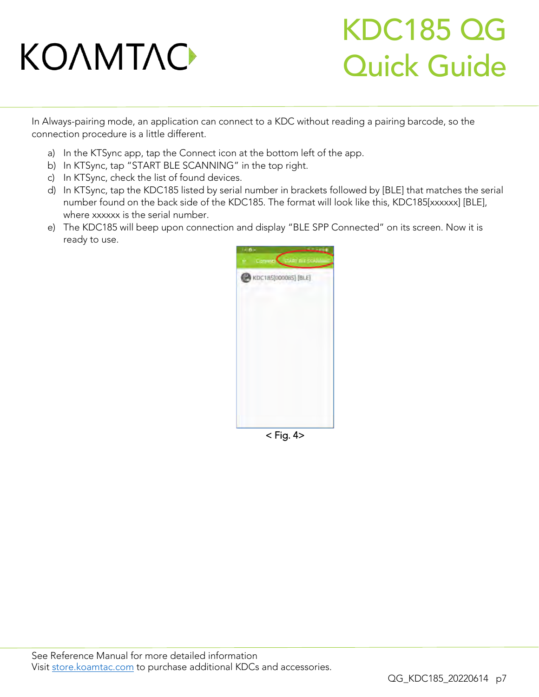### KDC185 QG Quick Guide

In Always-pairing mode, an application can connect to a KDC without reading a pairing barcode, so the connection procedure is a little different.

- a) In the KTSync app, tap the Connect icon at the bottom left of the app.<br>b) In KTSync, tap "START BLE SCANNING" in the top right.
- 
- c) In KTSync, check the list of found devices.
- d) In KTSync, tap the KDC185 listed by serial number in brackets followed by [BLE] that matches the serial number found on the back side of the KDC185. The format will look like this, KDC185[xxxxxx] [BLE], where xxxxxx is the serial number.
- where you are you concerned the KDC185 will been upon conne e) The KDC185 will beep upon connection and display "BLE SPP Connected" on its screen. Now it is ready to use.



 $<$  Fig. 4 $>$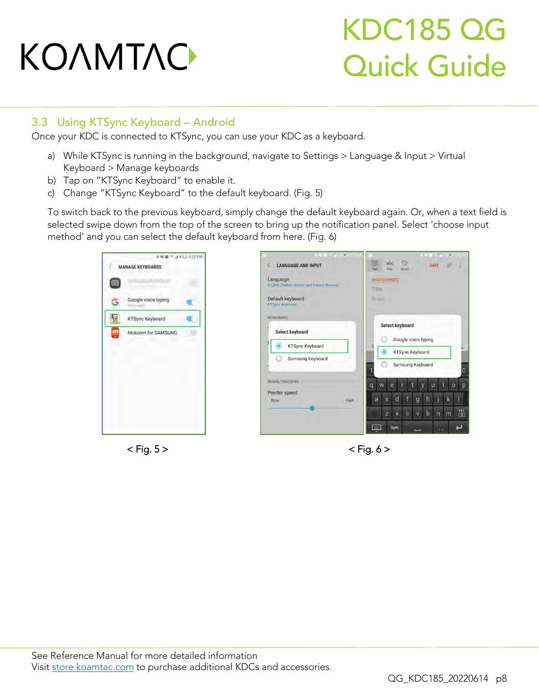## KDC185 QG Quick Guide

#### <span id="page-8-0"></span>3.3 Using KTSync Keyboard – Android

Once your KDC is connected to KTSync, you can use your KDC as a keyboard.

- a) While KTSync is running in the background, navigate to Settings > Language & Input > Virtual
- b) Tap on "KTSync Keyboard" to enable it.
- b) Tap on "KTSync Keyboard" to enable it. c) Change "KTSync Keyboard" to the default keyboard. (Fig. 5)

To switch back to the previous keyboard, simply change the default keyboard again. Or, when a text field is<br>selected swipe down from the top of the screen to bring up the notification panel. Select 'choose input  $s$  selected spin the supplies of the screen to bring up the notification parallel  $s$  in  $s$ 







 $\mathbf{F}_{\mathbf{g}}$  ,  $\mathbf{g}$  ,  $\mathbf{g}$  ,  $\mathbf{g}$  ,  $\mathbf{g}$  ,  $\mathbf{g}$  ,  $\mathbf{g}$  ,  $\mathbf{g}$  ,  $\mathbf{g}$  ,  $\mathbf{g}$  ,  $\mathbf{g}$  ,  $\mathbf{g}$  ,  $\mathbf{g}$  ,  $\mathbf{g}$  ,  $\mathbf{g}$  ,  $\mathbf{g}$  ,  $\mathbf{g}$  ,  $\mathbf{g}$  ,  $\mathbf{g}$  ,  $\mathbf{g$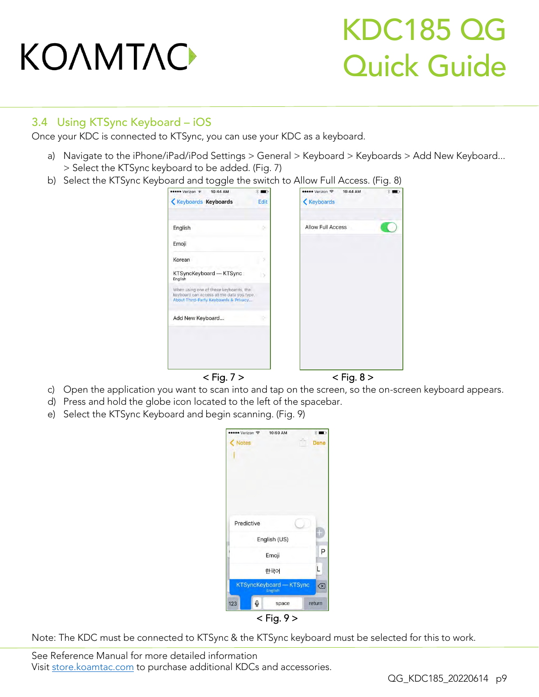## KDC185 QG Quick Guide

#### <span id="page-9-0"></span>3.4 Using KTSync Keyboard – iOS

Once your KDC is connected to KTSync, you can use your KDC as a keyboard.

- a) Navigate to the iPhone/iPad/iPod Settings > General > Keyboard > Keyboards > Add New Keyboard...<br>> Select the KTSync keyboard to be added. (Fig. 7)
- $\frac{1}{2}$  Select the KTSync Keyboard and togele the switch

| ●●●●● Verizon ←<br>10:44 AM                                                                                                   | ••••• Verizon →<br>10:44 AM<br>$\blacksquare$ | œ. |
|-------------------------------------------------------------------------------------------------------------------------------|-----------------------------------------------|----|
| <b>Keyboards Keyboards</b>                                                                                                    | <b>Keyboards</b><br>Edit                      |    |
| English                                                                                                                       | Allow Full Access<br>o                        |    |
| Emoji                                                                                                                         |                                               |    |
| Korean                                                                                                                        |                                               |    |
| KTSyncKeyboard - KTSync<br>English                                                                                            | $\rightarrow$                                 |    |
| When using one of these keyboards, the<br>keyboard can access all the data you type.<br>About Third-Party Keyboards & Privacy |                                               |    |
| Add New Keyboard                                                                                                              | ×                                             |    |
|                                                                                                                               |                                               |    |
|                                                                                                                               |                                               |    |
| $<$ Fig. 7 $>$                                                                                                                | $<$ Fig. 8 $>$                                |    |

- c) Open the application you want to scan into and tap on the screen, so the on-screen keyboard appears.
- d) Press and hold the globe icon located to the left of the spacebar.
- d) Press and hold the globe icon located to the left of the space and the space of the  $\epsilon$ . e) Select the KTSync Keyboard and begin scanning. (Fig. 9)

| ••• Verizon 〒           | 10:50 AM       | u)<br>案1 |
|-------------------------|----------------|----------|
| <b>Notes</b>            |                | Done     |
|                         |                |          |
|                         |                |          |
|                         |                |          |
|                         |                |          |
|                         |                |          |
| Predictive              |                |          |
|                         |                |          |
|                         | English (US)   |          |
|                         | Emoji          | Ρ        |
|                         | 한국어            | L        |
| KTSyncKeyboard - KTSync | English        | ⊗        |
| $\mathbb{Q}$<br>123     | space          | return   |
|                         | $<$ Fig. 9 $>$ |          |

Note: The KDC must be connected to KTSync & the KTSync keyboard must be selected for this to work.

See [Reference Manual fo](http://store.koamtac.com/)r more detailed information<br>Visit store.koamtac.com to purchase additional KDCs and accessories.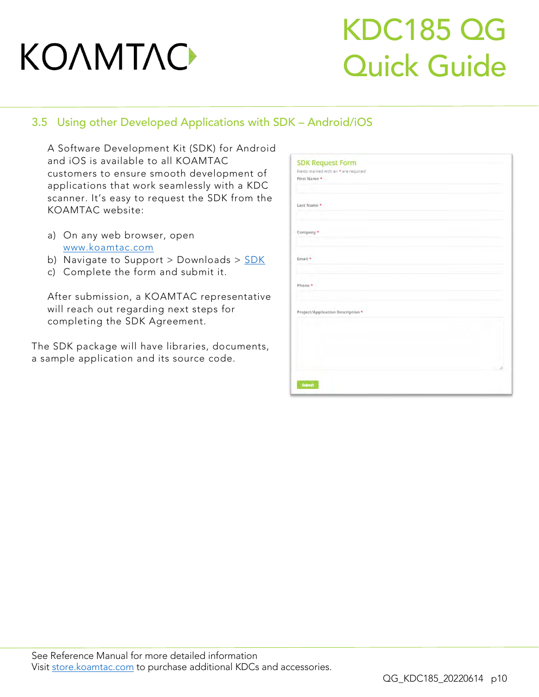### KDC185 QG Quick Guide

#### <span id="page-10-0"></span>3.5 Using other Developed Applications with SDK – Android/iOS

A Software Development Kit (SDK) for Android customers to ensure smooth development of applications that work seamlessly with a KDC scanner. It's easy to request the SDK from the KOAMTAC website: KOAMTAC website:

- a) [On any web browse](file:///C:/Users/Alisha%20N%20Hettinger/Documents/QuickGuides/www.koamtac.com)r, open
- b) Navigate to Support > Downloads >  $SDK$ </u>
- b) Navigate to Support > Downloads > [SDK](https://www.koamtac.com/support/downloads/sdk/) c) Complete the form and submit it.

After submission, a KOAMTAC representative<br>will reach out regarding next steps for will see the strength of the steps for completing the SDK Agreement.

The SDK package will have libraries to the SDK. a sample application and its source code.

| <b>SDK Request Form</b>              |  |
|--------------------------------------|--|
| Fields marked with an * are required |  |
| First Name *                         |  |
|                                      |  |
|                                      |  |
| Last Name *                          |  |
|                                      |  |
|                                      |  |
|                                      |  |
| Company *                            |  |
|                                      |  |
|                                      |  |
|                                      |  |
| Email +                              |  |
|                                      |  |
|                                      |  |
| Phone *                              |  |
|                                      |  |
|                                      |  |
|                                      |  |
| Project/Application Description *    |  |
|                                      |  |
|                                      |  |
|                                      |  |
|                                      |  |
|                                      |  |
|                                      |  |
|                                      |  |
|                                      |  |
|                                      |  |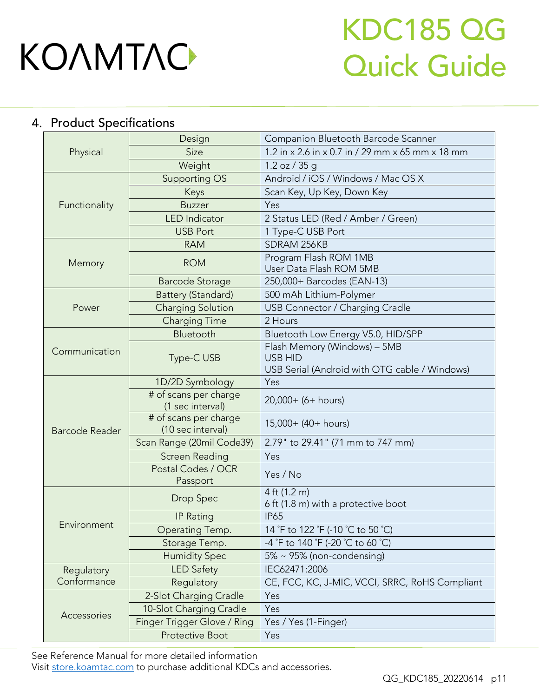### KDC185 QG Quick Guide

### <span id="page-11-0"></span>4. Product Specifications

|                       | Design                                     | Companion Bluetooth Barcode Scanner                                                             |  |  |
|-----------------------|--------------------------------------------|-------------------------------------------------------------------------------------------------|--|--|
| Physical              | Size                                       | 1.2 in x 2.6 in x 0.7 in / 29 mm x 65 mm x 18 mm                                                |  |  |
|                       | Weight                                     | 1.2 oz / 35 g                                                                                   |  |  |
|                       | Supporting OS                              | Android / iOS / Windows / Mac OS X                                                              |  |  |
|                       | Keys                                       | Scan Key, Up Key, Down Key                                                                      |  |  |
| Functionality         | <b>Buzzer</b>                              | Yes                                                                                             |  |  |
|                       | <b>LED</b> Indicator                       | 2 Status LED (Red / Amber / Green)                                                              |  |  |
|                       | <b>USB Port</b>                            | 1 Type-C USB Port                                                                               |  |  |
|                       | <b>RAM</b>                                 | SDRAM 256KB                                                                                     |  |  |
| Memory                | <b>ROM</b>                                 | Program Flash ROM 1MB<br>User Data Flash ROM 5MB                                                |  |  |
|                       | <b>Barcode Storage</b>                     | 250,000+ Barcodes (EAN-13)                                                                      |  |  |
|                       | Battery (Standard)                         | 500 mAh Lithium-Polymer                                                                         |  |  |
| Power                 | <b>Charging Solution</b>                   | USB Connector / Charging Cradle                                                                 |  |  |
|                       | <b>Charging Time</b>                       | 2 Hours                                                                                         |  |  |
|                       | Bluetooth                                  | Bluetooth Low Energy V5.0, HID/SPP                                                              |  |  |
| Communication         | Type-C USB                                 | Flash Memory (Windows) - 5MB<br><b>USB HID</b><br>USB Serial (Android with OTG cable / Windows) |  |  |
|                       | 1D/2D Symbology                            | Yes                                                                                             |  |  |
|                       | # of scans per charge<br>(1 sec interval)  | 20,000+ (6+ hours)                                                                              |  |  |
| <b>Barcode Reader</b> | # of scans per charge<br>(10 sec interval) | 15,000+ (40+ hours)                                                                             |  |  |
|                       | Scan Range (20mil Code39)                  | 2.79" to 29.41" (71 mm to 747 mm)                                                               |  |  |
|                       | Screen Reading                             | Yes                                                                                             |  |  |
|                       | Postal Codes / OCR<br>Passport             | Yes / No                                                                                        |  |  |
|                       | Drop Spec                                  | 4 ft (1.2 m)<br>6 ft (1.8 m) with a protective boot                                             |  |  |
|                       | <b>IP Rating</b>                           | <b>IP65</b>                                                                                     |  |  |
| Environment           | Operating Temp.                            | 14 °F to 122 °F (-10 °C to 50 °C)                                                               |  |  |
|                       | Storage Temp.                              | -4 °F to 140 °F (-20 °C to 60 °C)                                                               |  |  |
|                       | <b>Humidity Spec</b>                       | 5% ~ 95% (non-condensing)                                                                       |  |  |
| Regulatory            | <b>LED Safety</b>                          | IEC62471:2006                                                                                   |  |  |
| Conformance           | Regulatory                                 | CE, FCC, KC, J-MIC, VCCI, SRRC, RoHS Compliant                                                  |  |  |
|                       | 2-Slot Charging Cradle                     | Yes                                                                                             |  |  |
|                       | 10-Slot Charging Cradle                    | Yes                                                                                             |  |  |
| Accessories           | Finger Trigger Glove / Ring                | Yes / Yes (1-Finger)                                                                            |  |  |
|                       | <b>Protective Boot</b>                     | Yes                                                                                             |  |  |

See [Reference Manual fo](http://store.koamtac.com/)r more detailed information<br>Visit store.koamtac.com to purchase additional KDCs and accessories.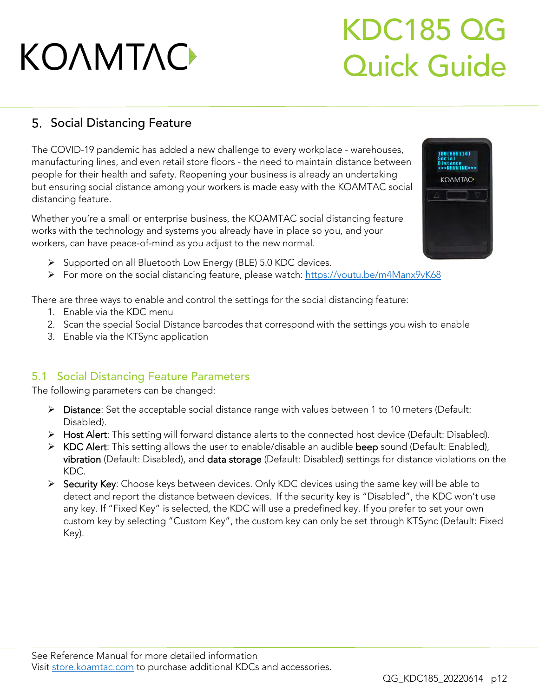### KDC185 QG Quick Guide

### <span id="page-12-0"></span>5. Social Distancing Feature

The COVID-19 pandemic has added a new challenge to every workplace - warehouses, people for their health and safety. Reopening your business is already an undertaking people for their health and safety. Reopening your business is already an undertaking but ensuring social distance among your workers is made easy with the KOAMTAC social distancing feature.

Whether you're a small or enterprise business, the KOAMTAC social distancing feature works with the technology and systems you already have in place so you, and your workers, can have peace-of-mind as you adjust to the new normal. workers, can have peace-of-mind as you adjust to the new normal.

- ➢ Supported on all Bluetooth Low Energy (BLE) 5.0 KDC devices.
- ➢ For more on the social distancing feature, please watch:<https://youtu.be/m4Manx9vK68>

There are three ways to enable and control the settings for the social distancing feature:

- 
- 2. Scan the special Social Distance barcodes that correspond with the settings you wish to enable 2. Scan the special Social Distance barcodes that correspond with the settings you wish to enable
- 3. Enable via the KTSync application

#### <span id="page-12-1"></span>5.1 Social Distancing Feature Parameters

The following parameters can be changed:

- ➢ Distance: Set the acceptable social distance range with values between 1 to 10 meters (Default:
- Disabled). ➢ Host Alert: This setting will forward distance alerts to the connected host device (Default: Disabled).
- ➢ KDC Alert: This setting allows the user to enable/disable an audible beep sound (Default: Enabled), vibration (Default: Disabled), and data storage (Default: Disabled) settings for distance violations on the KDC
- > Security Key: Choose keys between devices. Only KDC devices using the same key will be able to<br>detect and report the distance between devices. If the security key is "Disabled" the KDC wen't detect and report the distance between devices. If the security key is "Disabled", the KDC won't use<br>any key. If "Fixed Key" is selected, the KDC will use a predefined key. If you prefer to set your own any the Key. If the Fixed Key" is selected, the Key of the Key and the Contract of KTS will use the Contract o custom key by selecting "Custom Key", the custom key can only be set through King (Default: Fixed<br>Kav)  $\mathcal{L}$

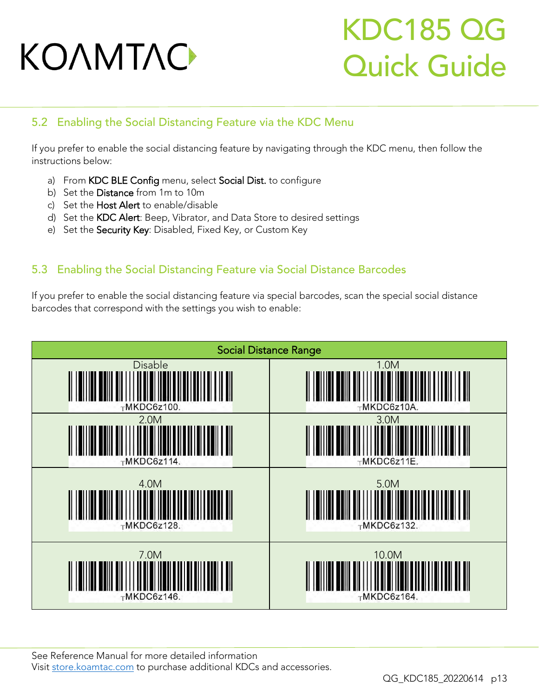### KDC185 QG Quick Guide

#### <span id="page-13-0"></span>5.2 Enabling the Social Distancing Feature via the KDC Menu

If you prefer to enable the social distancing feature by navigating through the KDC menu, then follow the<br>instructions below: instructions below:

- a) From KDC BLE Config menu, select Social Dist. to configure<br>b) Set the Distance from 1m to 10m
- 
- c) Set the Host Alert to enable/disable
- d) Set the KDC Alert: Beep, Vibrator, and Data Store to desired settings
- d) Set the Society Kov: Disphale Fixed Key, or Custom Key, e) Set the Security Key: Disabled, Fixed Key, or Custom Key

#### <span id="page-13-1"></span>5.3 Enabling the Social Distancing Feature via Social Distance Barcodes

If you prefer to enable the social distance via special barcodes, see the special social social social social social distance barcodes that correspond with the settings you wish to enable:



See [Reference Manual fo](http://store.koamtac.com/)r more detailed information<br>Visit store.koamtac.com to purchase additional KDCs and accessories.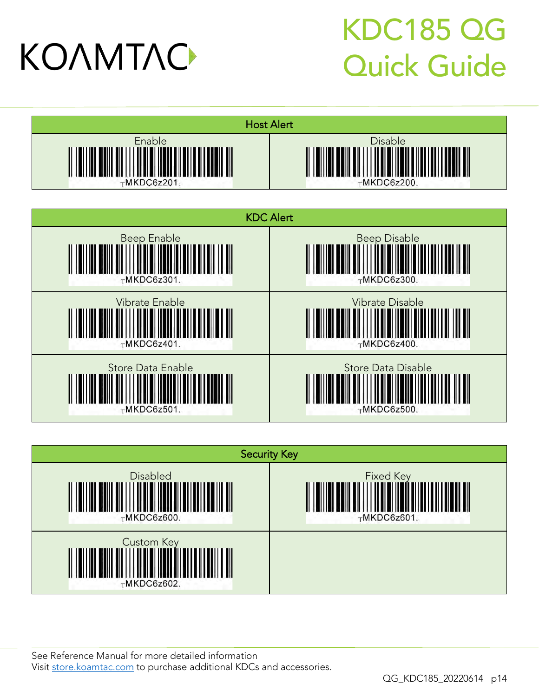### KDC185 QG Quick Guide







See [Reference Manual fo](http://store.koamtac.com/)r more detailed information<br>Visit store.koamtac.com to purchase additional KDCs and accessories.

QG KDC185 20220614 p14 QG\_KDC185\_20220614 p14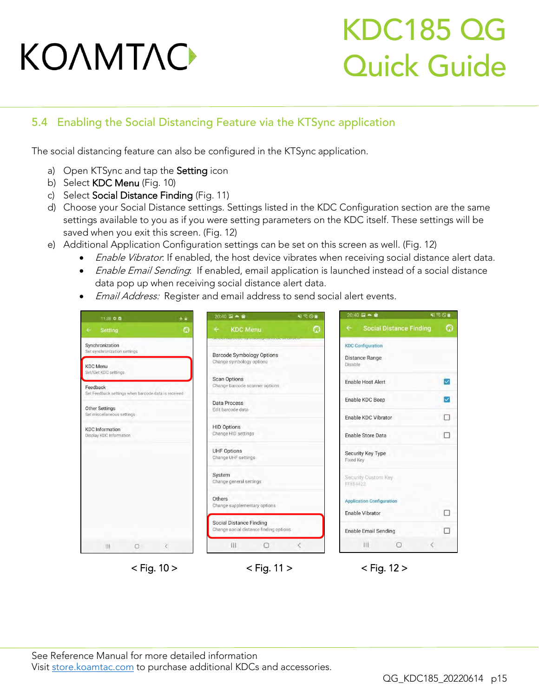### KDC185 QG Quick Guide

#### <span id="page-15-0"></span>5.4 Enabling the Social Distancing Feature via the KTSync application

The social distancing feature can also be configured in the KTSync application.

- a) Open KTSync and tap the **Setting** icon<br>b) Select **KDC Menu** (Fig. 10)
- 
- c) Select Social Distance Finding (Fig. 11)
- d) Choose your Social Distance settings. Settings listed in the KDC Configuration section are the same settings available to you as if you were setting parameters on the KDC itself. These settings will be saved when you exit this screen. (Fig. 12)
- e) Additional Application Configuration settings can be set on this screen as well. (Fig. 12)
- Enable Vibrator: If enabled, the host device vibrates when receiving social distance alert data.<br>• Enable Email Sanding If enabled, amail application is launched instead of a social distance.
	- *Enable Email Sending*: If enabled, email application is launched instead of a social distance<br>data pop up when receiving social distance alert data.
	- Email Address: Register and email address to send social alert events.

|                                              | 11:38 幸鱼                                            | 4章                                     | $20:40 \ \overline{w} - \hat{w}$                                                       | 43 < 0                           | $20:40 \square - 0$                            | <b>NISOR</b>            |
|----------------------------------------------|-----------------------------------------------------|----------------------------------------|----------------------------------------------------------------------------------------|----------------------------------|------------------------------------------------|-------------------------|
|                                              | Setting                                             | G                                      | <b>KDC Menu</b><br>÷                                                                   | Ω                                | <b>Social Distance Finding</b><br>$\leftarrow$ | ٥                       |
|                                              | Synchronization<br>Set synchronization settings     |                                        | <u>UCH SOFTWARD OF STREET IN THE RESERVE OF HE</u><br><b>Barcode Symbology Options</b> |                                  | <b>KDC Configuration</b>                       |                         |
| <b>KDC</b> Menu<br>Set/Get KDC settings      |                                                     | Change symbology options               |                                                                                        | <b>Distance Range</b><br>Disable |                                                |                         |
| Feedback                                     |                                                     |                                        | <b>Scan Options</b><br>Change barcode scanner options                                  |                                  | <b>Enable Host Alert</b>                       | $\checkmark$            |
|                                              | Sel Feedback settings when barcode data is received |                                        | <b>Data Process</b>                                                                    |                                  | Enable KDC Beep                                | $\overline{\mathsf{v}}$ |
| Other Settings<br>Set miscellaneous settings |                                                     | Edit barcode data                      |                                                                                        | Enable KDC Vibrator              | ш                                              |                         |
|                                              | <b>KDC</b> Information<br>Display KDC Information   |                                        | <b>HID Options</b><br>Change HID settings                                              |                                  | <b>Enable Store Data</b>                       | □                       |
|                                              |                                                     |                                        | <b>UHF Options</b><br>Change UHF settings                                              |                                  | Security Key Type<br>Fixed Key                 |                         |
|                                              |                                                     |                                        | System<br>Change general settings                                                      |                                  | Security Custom Key<br>FFB84422                |                         |
|                                              |                                                     | Others<br>Change supplementary options |                                                                                        | <b>Application Configuration</b> |                                                |                         |
|                                              |                                                     |                                        |                                                                                        | Enable Vibrator                  | п                                              |                         |
|                                              |                                                     |                                        | <b>Social Distance Finding</b><br>Change social distance finding options               |                                  | <b>Enable Email Sending</b>                    | п                       |
|                                              | m<br>$\cup$                                         | č.                                     | Ш<br>$\bigcap$                                                                         | ×                                | 111<br>$\bigcirc$                              | €                       |

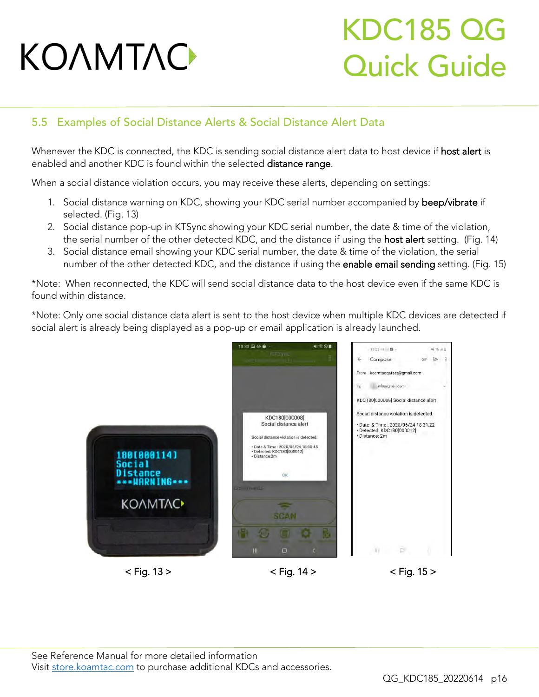### KDC185 QG Quick Guide

#### <span id="page-16-0"></span>5.5 Examples of Social Distance Alerts & Social Distance Alert Data

Whenever the KDC is found within the colocted distance alert data to host device if host districts. enabled and another KDC is found within the selected distance range.

When a social distance violation occurs, you may receive these alerts, depending on settings:

- 1. Social distance warning on KDC, showing your KDC serial number accompanied by beep/vibrate if selected. (Fig. 13)
- 2. Social distance pop-up in KTSync showing your KDC serial number, the date & time of the violation, the serial number of the other detected KDC, and the distance if using the host alert setting. (Fig. 14)
- 3. Social distance email showing your KDC serial number, the date & time of the violation, the serial 3. Social distance email show they go a the center manuscry are date exameles in the modeling, the center of the other detected KDC and the distance if using the anable email sending setting. (Fig. number of the other detections and the distance if using the enable enable enable enable enable enable experience if using the enable experience is using the enable enable enable enable enable enable enable enable enable e

\*Note: When reconnected, the KDC will send social distance data to the host device even if the same KDC is found within distance found within distance.

\*Note: Only one social distance data alert is sent to the host device when multiple KDC devices are detected if social alert is already being displayed as a pop-up or email application is already launched.